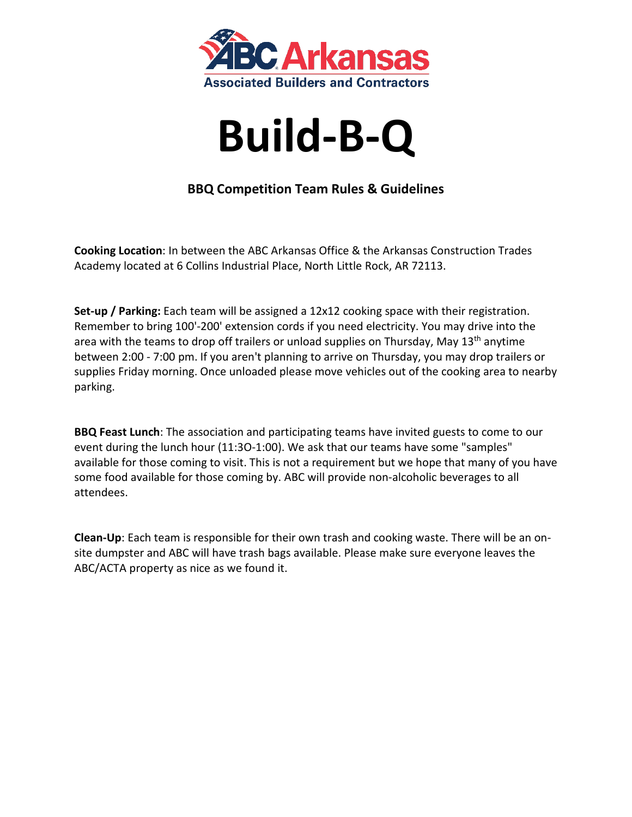



# **BBQ Competition Team Rules & Guidelines**

**Cooking Location**: In between the ABC Arkansas Office & the Arkansas Construction Trades Academy located at 6 Collins Industrial Place, North Little Rock, AR 72113.

**Set-up / Parking:** Each team will be assigned a 12x12 cooking space with their registration. Remember to bring 100'-200' extension cords if you need electricity. You may drive into the area with the teams to drop off trailers or unload supplies on Thursday, May 13<sup>th</sup> anytime between 2:00 - 7:00 pm. If you aren't planning to arrive on Thursday, you may drop trailers or supplies Friday morning. Once unloaded please move vehicles out of the cooking area to nearby parking.

**BBQ Feast Lunch**: The association and participating teams have invited guests to come to our event during the lunch hour (11:3O-1:00). We ask that our teams have some "samples" available for those coming to visit. This is not a requirement but we hope that many of you have some food available for those coming by. ABC will provide non-alcoholic beverages to all attendees.

**Clean-Up**: Each team is responsible for their own trash and cooking waste. There will be an onsite dumpster and ABC will have trash bags available. Please make sure everyone leaves the ABC/ACTA property as nice as we found it.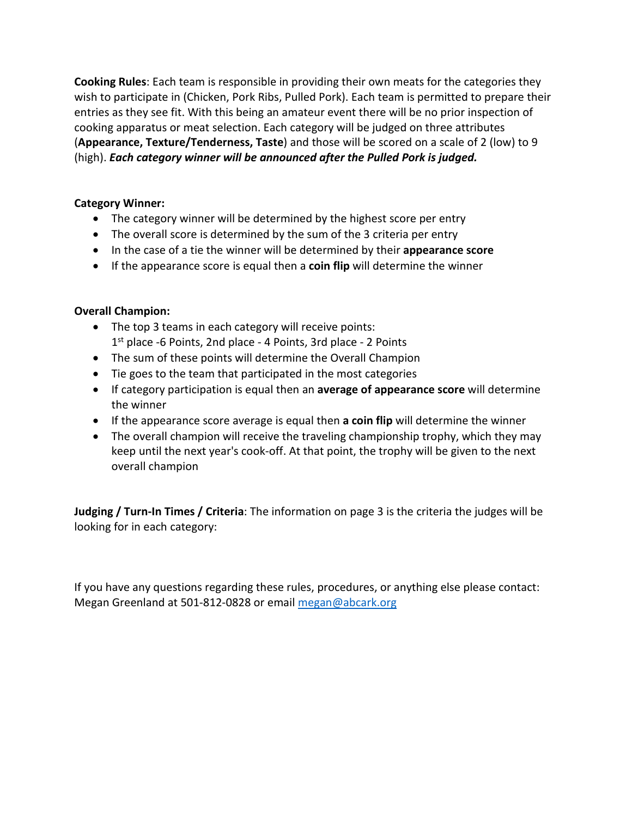**Cooking Rules**: Each team is responsible in providing their own meats for the categories they wish to participate in (Chicken, Pork Ribs, Pulled Pork). Each team is permitted to prepare their entries as they see fit. With this being an amateur event there will be no prior inspection of cooking apparatus or meat selection. Each category will be judged on three attributes (**Appearance, Texture/Tenderness, Taste**) and those will be scored on a scale of 2 (low) to 9 (high). *Each category winner will be announced after the Pulled Pork is judged.*

#### **Category Winner:**

- The category winner will be determined by the highest score per entry
- The overall score is determined by the sum of the 3 criteria per entry
- In the case of a tie the winner will be determined by their **appearance score**
- If the appearance score is equal then a **coin flip** will determine the winner

### **Overall Champion:**

- The top 3 teams in each category will receive points: 1<sup>st</sup> place -6 Points, 2nd place - 4 Points, 3rd place - 2 Points
- The sum of these points will determine the Overall Champion
- Tie goes to the team that participated in the most categories
- If category participation is equal then an **average of appearance score** will determine the winner
- If the appearance score average is equal then **a coin flip** will determine the winner
- The overall champion will receive the traveling championship trophy, which they may keep until the next year's cook-off. At that point, the trophy will be given to the next overall champion

**Judging / Turn-In Times / Criteria**: The information on page 3 is the criteria the judges will be looking for in each category:

If you have any questions regarding these rules, procedures, or anything else please contact: Megan Greenland at 501-812-0828 or email [megan@abcark.org](mailto:megan@abcark.org)